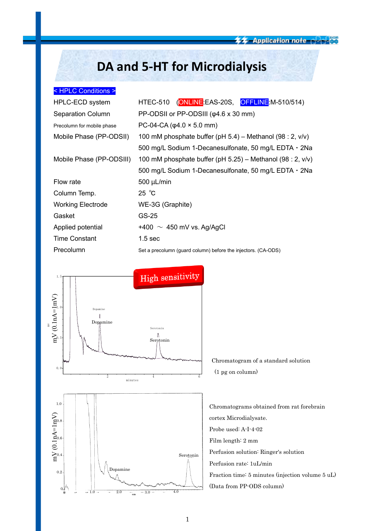# **DA and 5-HT for Microdialysis**

## < HPLC Conditions >

| HPLC-ECD system            | HTEC-510 (ONLINE EAS-20S, OFFLINE M-510/514)                  |  |  |
|----------------------------|---------------------------------------------------------------|--|--|
| <b>Separation Column</b>   | PP-ODSII or PP-ODSIII ( $\varphi$ 4.6 x 30 mm)                |  |  |
| Precolumn for mobile phase | PC-04-CA ( $\varphi$ 4.0 × 5.0 mm)                            |  |  |
| Mobile Phase (PP-ODSII)    | 100 mM phosphate buffer (pH $5.4$ ) – Methanol (98 : 2, v/v)  |  |  |
|                            | 500 mg/L Sodium 1-Decanesulfonate, 50 mg/L EDTA $\cdot$ 2Na   |  |  |
| Mobile Phase (PP-ODSIII)   | 100 mM phosphate buffer (pH 5.25) – Methanol (98 : 2, $v/v$ ) |  |  |
|                            | 500 mg/L Sodium 1-Decanesulfonate, 50 mg/L EDTA · 2Na         |  |  |
| Flow rate                  | 500 µL/min                                                    |  |  |
| Column Temp.               | 25 °C                                                         |  |  |
| <b>Working Electrode</b>   | WE-3G (Graphite)                                              |  |  |
| Gasket                     | GS-25                                                         |  |  |
| Applied potential          | +400 $\sim$ 450 mV vs. Ag/AgCl                                |  |  |
| <b>Time Constant</b>       | 1.5 <sub>sec</sub>                                            |  |  |
| Precolumn                  | Set a precolumn (guard column) before the injectors. (CA-ODS) |  |  |



Chromatogram of a standard solution (1 pg on column)

Chromatograms obtained from rat forebrain cortex Microdialysate. Probe used: A-I-4-02 Film length: 2 mm Perfusion solution: Ringer's solution Perfusion rate: 1uL/min Fraction time: 5 minutes (injection volume 5 uL) (Data from PP-ODS column)